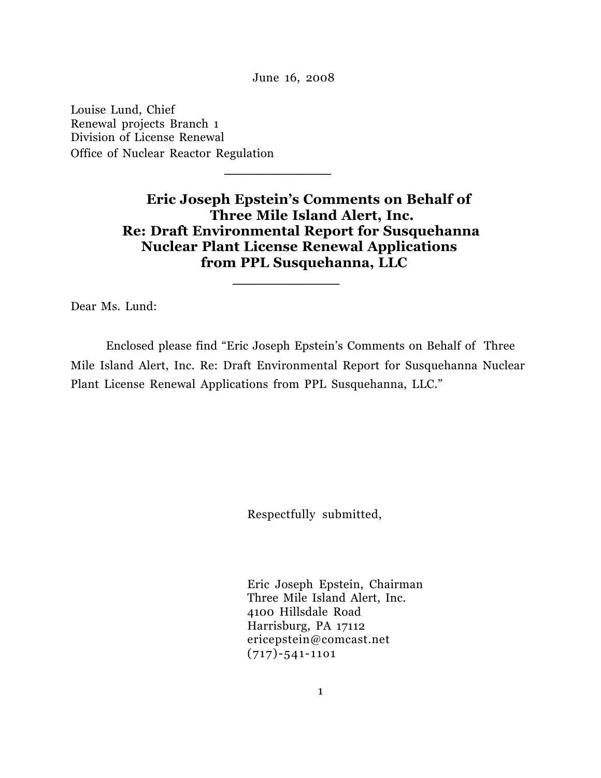June 16, 2008

 **\_\_\_\_\_\_\_\_\_\_\_** 

 **\_\_\_\_\_\_\_\_\_\_\_**

Louise Lund, Chief Renewal projects Branch 1 Division of License Renewal Office of Nuclear Reactor Regulation

> **Eric Joseph Epstein's Comments on Behalf of Three Mile Island Alert, Inc. Re: Draft Environmental Report for Susquehanna Nuclear Plant License Renewal Applications from PPL Susquehanna, LLC**

Dear Ms. Lund:

Enclosed please find "Eric Joseph Epstein's Comments on Behalf of Three Mile Island Alert, Inc. Re: Draft Environmental Report for Susquehanna Nuclear Plant License Renewal Applications from PPL Susquehanna, LLC."

Respectfully submitted,

 Eric Joseph Epstein, Chairman Three Mile Island Alert, Inc. 4100 Hillsdale Road Harrisburg, PA 17112 ericepstein@comcast.net (717)-541-11o1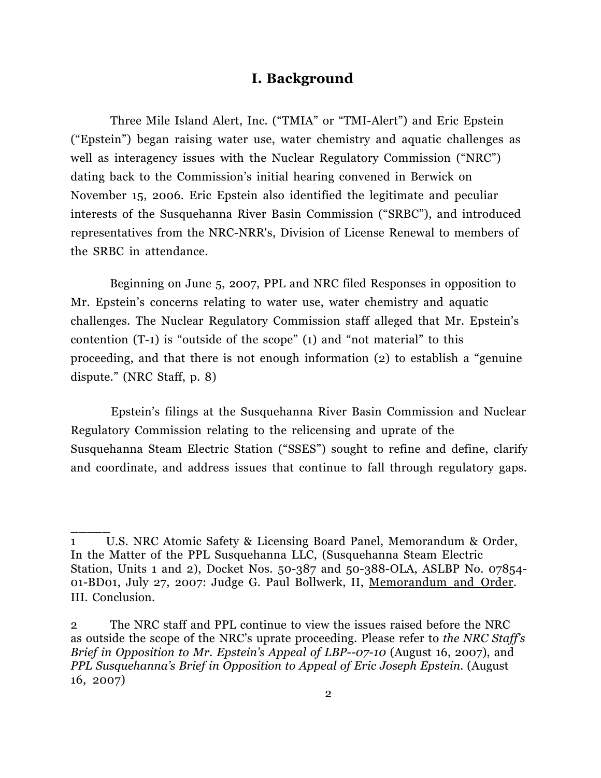### **I. Background**

 Three Mile Island Alert, Inc. ("TMIA" or "TMI-Alert") and Eric Epstein ("Epstein") began raising water use, water chemistry and aquatic challenges as well as interagency issues with the Nuclear Regulatory Commission ("NRC") dating back to the Commission's initial hearing convened in Berwick on November 15, 2006. Eric Epstein also identified the legitimate and peculiar interests of the Susquehanna River Basin Commission ("SRBC"), and introduced representatives from the NRC-NRR's, Division of License Renewal to members of the SRBC in attendance.

Beginning on June 5, 2007, PPL and NRC filed Responses in opposition to Mr. Epstein's concerns relating to water use, water chemistry and aquatic challenges. The Nuclear Regulatory Commission staff alleged that Mr. Epstein's contention (T-1) is "outside of the scope" (1) and "not material" to this proceeding, and that there is not enough information (2) to establish a "genuine dispute." (NRC Staff, p. 8)

Epstein's filings at the Susquehanna River Basin Commission and Nuclear Regulatory Commission relating to the relicensing and uprate of the Susquehanna Steam Electric Station ("SSES") sought to refine and define, clarify and coordinate, and address issues that continue to fall through regulatory gaps.

<sup>1</sup> U.S. NRC Atomic Safety & Licensing Board Panel, Memorandum & Order, In the Matter of the PPL Susquehanna LLC, (Susquehanna Steam Electric Station, Units 1 and 2), Docket Nos. 50-387 and 50-388-OLA, ASLBP No. 07854- 01-BD01, July 27, 2007: Judge G. Paul Bollwerk, II, Memorandum and Order. III. Conclusion.

<sup>2</sup> The NRC staff and PPL continue to view the issues raised before the NRC as outside the scope of the NRC's uprate proceeding. Please refer to *the NRC Staff's Brief in Opposition to Mr. Epstein's Appeal of LBP--07-10* (August 16, 2007), and *PPL Susquehanna's Brief in Opposition to Appeal of Eric Joseph Epstein.* (August 16, 2007)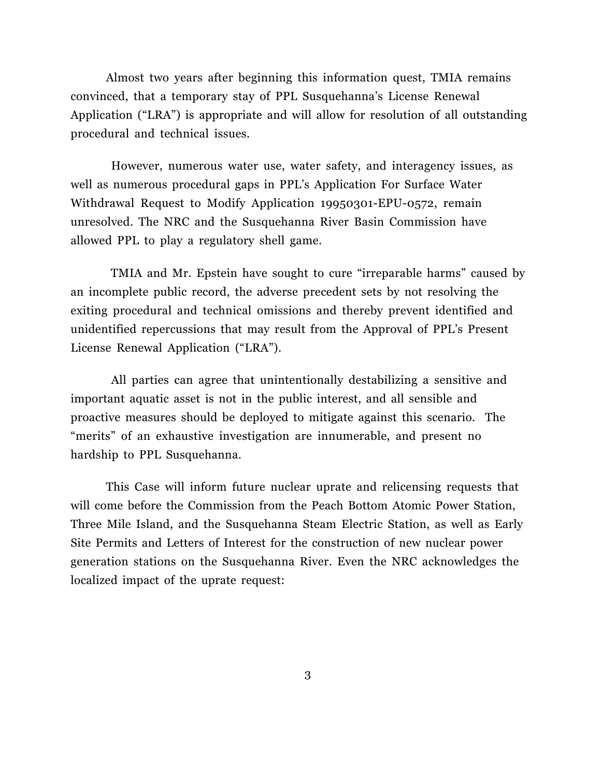Almost two years after beginning this information quest, TMIA remains convinced, that a temporary stay of PPL Susquehanna's License Renewal Application ("LRA") is appropriate and will allow for resolution of all outstanding procedural and technical issues.

 However, numerous water use, water safety, and interagency issues, as well as numerous procedural gaps in PPL's Application For Surface Water Withdrawal Request to Modify Application 19950301-EPU-0572, remain unresolved. The NRC and the Susquehanna River Basin Commission have allowed PPL to play a regulatory shell game.

 TMIA and Mr. Epstein have sought to cure "irreparable harms" caused by an incomplete public record, the adverse precedent sets by not resolving the exiting procedural and technical omissions and thereby prevent identified and unidentified repercussions that may result from the Approval of PPL's Present License Renewal Application ("LRA").

All parties can agree that unintentionally destabilizing a sensitive and important aquatic asset is not in the public interest, and all sensible and proactive measures should be deployed to mitigate against this scenario. The "merits" of an exhaustive investigation are innumerable, and present no hardship to PPL Susquehanna.

This Case will inform future nuclear uprate and relicensing requests that will come before the Commission from the Peach Bottom Atomic Power Station, Three Mile Island, and the Susquehanna Steam Electric Station, as well as Early Site Permits and Letters of Interest for the construction of new nuclear power generation stations on the Susquehanna River. Even the NRC acknowledges the localized impact of the uprate request: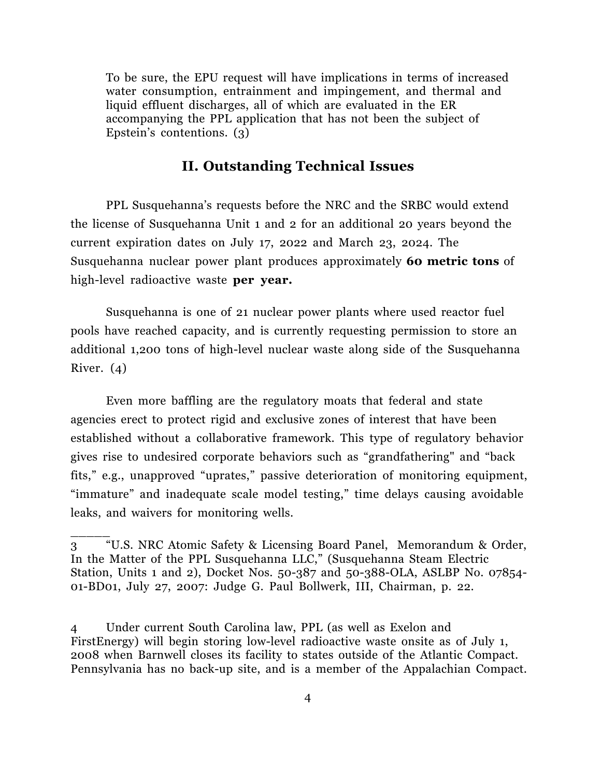To be sure, the EPU request will have implications in terms of increased water consumption, entrainment and impingement, and thermal and liquid effluent discharges, all of which are evaluated in the ER accompanying the PPL application that has not been the subject of Epstein's contentions. (3)

## **II. Outstanding Technical Issues**

PPL Susquehanna's requests before the NRC and the SRBC would extend the license of Susquehanna Unit 1 and 2 for an additional 20 years beyond the current expiration dates on July 17, 2022 and March 23, 2024. The Susquehanna nuclear power plant produces approximately **60 metric tons** of high-level radioactive waste **per year.**

Susquehanna is one of 21 nuclear power plants where used reactor fuel pools have reached capacity, and is currently requesting permission to store an additional 1,200 tons of high-level nuclear waste along side of the Susquehanna River. (4)

Even more baffling are the regulatory moats that federal and state agencies erect to protect rigid and exclusive zones of interest that have been established without a collaborative framework. This type of regulatory behavior gives rise to undesired corporate behaviors such as "grandfathering" and "back fits," e.g., unapproved "uprates," passive deterioration of monitoring equipment, "immature" and inadequate scale model testing," time delays causing avoidable leaks, and waivers for monitoring wells.

3 "U.S. NRC Atomic Safety & Licensing Board Panel, Memorandum & Order, In the Matter of the PPL Susquehanna LLC," (Susquehanna Steam Electric Station, Units 1 and 2), Docket Nos. 50-387 and 50-388-OLA, ASLBP No. 07854- 01-BD01, July 27, 2007: Judge G. Paul Bollwerk, III, Chairman, p. 22.

 $\overline{\phantom{a}}$ 

4 Under current South Carolina law, PPL (as well as Exelon and FirstEnergy) will begin storing low-level radioactive waste onsite as of July 1, 2008 when Barnwell closes its facility to states outside of the Atlantic Compact. Pennsylvania has no back-up site, and is a member of the Appalachian Compact.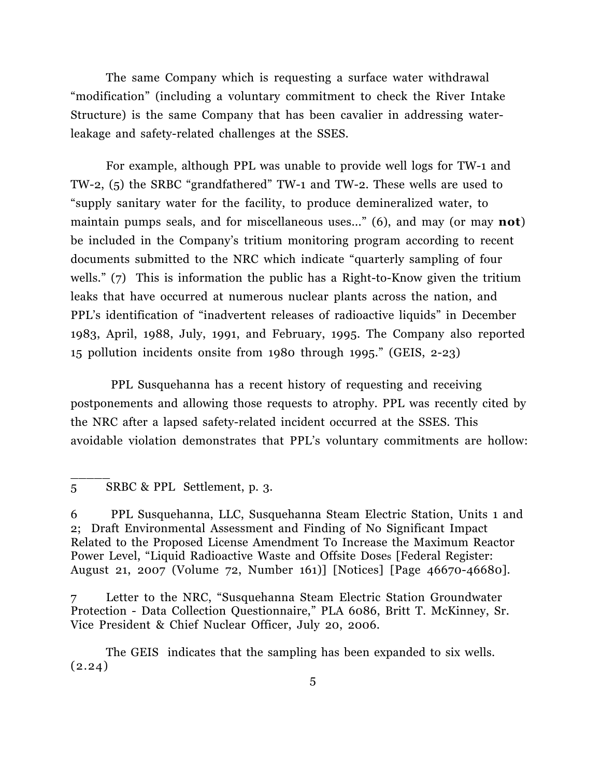The same Company which is requesting a surface water withdrawal "modification" (including a voluntary commitment to check the River Intake Structure) is the same Company that has been cavalier in addressing waterleakage and safety-related challenges at the SSES.

For example, although PPL was unable to provide well logs for TW-1 and TW-2, (5) the SRBC "grandfathered" TW-1 and TW-2. These wells are used to "supply sanitary water for the facility, to produce demineralized water, to maintain pumps seals, and for miscellaneous uses..." (6), and may (or may **not**) be included in the Company's tritium monitoring program according to recent documents submitted to the NRC which indicate "quarterly sampling of four wells." (7) This is information the public has a Right-to-Know given the tritium leaks that have occurred at numerous nuclear plants across the nation, and PPL's identification of "inadvertent releases of radioactive liquids" in December 1983, April, 1988, July, 1991, and February, 1995. The Company also reported 15 pollution incidents onsite from 1980 through 1995." (GEIS, 2-23)

 PPL Susquehanna has a recent history of requesting and receiving postponements and allowing those requests to atrophy. PPL was recently cited by the NRC after a lapsed safety-related incident occurred at the SSES. This avoidable violation demonstrates that PPL's voluntary commitments are hollow:

 $\overline{\phantom{a}}$ 

6 PPL Susquehanna, LLC, Susquehanna Steam Electric Station, Units 1 and 2; Draft Environmental Assessment and Finding of No Significant Impact Related to the Proposed License Amendment To Increase the Maximum Reactor Power Level, "Liquid Radioactive Waste and Offsite Doses [Federal Register: August 21, 2007 (Volume 72, Number 161)] [Notices] [Page 46670-46680].

7 Letter to the NRC, "Susquehanna Steam Electric Station Groundwater Protection - Data Collection Questionnaire," PLA 6086, Britt T. McKinney, Sr. Vice President & Chief Nuclear Officer, July 20, 2006.

The GEIS indicates that the sampling has been expanded to six wells.  $(2.24)$ 

<sup>5</sup> SRBC & PPL Settlement, p. 3.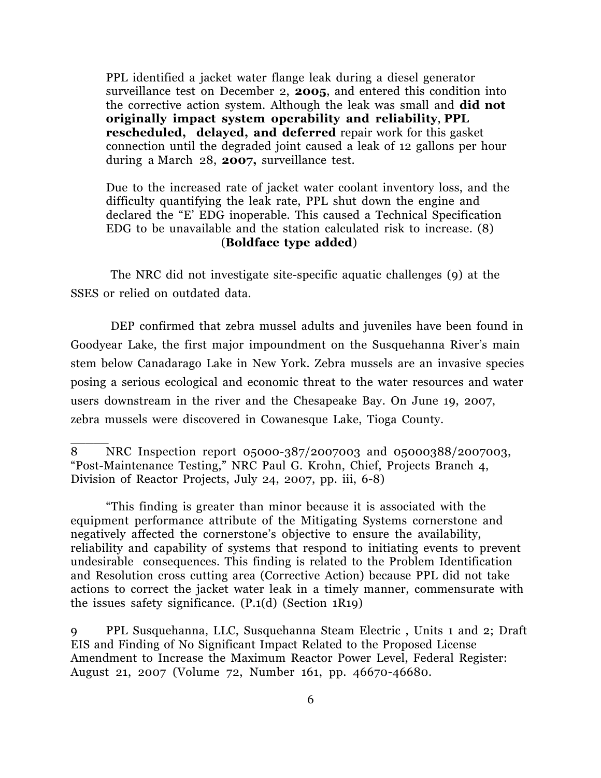PPL identified a jacket water flange leak during a diesel generator surveillance test on December 2, **2005**, and entered this condition into the corrective action system. Although the leak was small and **did not originally impact system operability and reliability**, **PPL rescheduled, delayed, and deferred** repair work for this gasket connection until the degraded joint caused a leak of 12 gallons per hour during a March 28, **2007,** surveillance test.

 Due to the increased rate of jacket water coolant inventory loss, and the difficulty quantifying the leak rate, PPL shut down the engine and declared the "E' EDG inoperable. This caused a Technical Specification EDG to be unavailable and the station calculated risk to increase. (8) (**Boldface type added**)

 The NRC did not investigate site-specific aquatic challenges (9) at the SSES or relied on outdated data.

DEP confirmed that zebra mussel adults and juveniles have been found in Goodyear Lake, the first major impoundment on the Susquehanna River's main stem below Canadarago Lake in New York. Zebra mussels are an invasive species posing a serious ecological and economic threat to the water resources and water users downstream in the river and the Chesapeake Bay. On June 19, 2007, zebra mussels were discovered in Cowanesque Lake, Tioga County.

8 NRC Inspection report 05000-387/2007003 and 05000388/2007003, "Post-Maintenance Testing," NRC Paul G. Krohn, Chief, Projects Branch 4, Division of Reactor Projects, July 24, 2007, pp. iii, 6-8)

\_\_\_\_\_

"This finding is greater than minor because it is associated with the equipment performance attribute of the Mitigating Systems cornerstone and negatively affected the cornerstone's objective to ensure the availability, reliability and capability of systems that respond to initiating events to prevent undesirable consequences. This finding is related to the Problem Identification and Resolution cross cutting area (Corrective Action) because PPL did not take actions to correct the jacket water leak in a timely manner, commensurate with the issues safety significance. (P.1(d) (Section 1R19)

9 PPL Susquehanna, LLC, Susquehanna Steam Electric , Units 1 and 2; Draft EIS and Finding of No Significant Impact Related to the Proposed License Amendment to Increase the Maximum Reactor Power Level, Federal Register: August 21, 2007 (Volume 72, Number 161, pp. 46670-46680.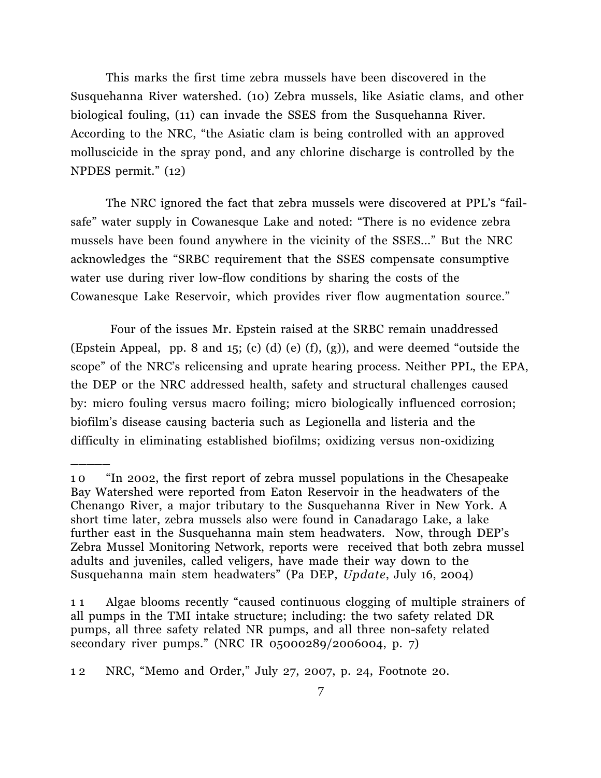This marks the first time zebra mussels have been discovered in the Susquehanna River watershed. (10) Zebra mussels, like Asiatic clams, and other biological fouling, (11) can invade the SSES from the Susquehanna River. According to the NRC, "the Asiatic clam is being controlled with an approved molluscicide in the spray pond, and any chlorine discharge is controlled by the NPDES permit." (12)

The NRC ignored the fact that zebra mussels were discovered at PPL's "failsafe" water supply in Cowanesque Lake and noted: "There is no evidence zebra mussels have been found anywhere in the vicinity of the SSES..." But the NRC acknowledges the "SRBC requirement that the SSES compensate consumptive water use during river low-flow conditions by sharing the costs of the Cowanesque Lake Reservoir, which provides river flow augmentation source."

Four of the issues Mr. Epstein raised at the SRBC remain unaddressed (Epstein Appeal, pp. 8 and 15; (c) (d) (e) (f), (g)), and were deemed "outside the scope" of the NRC's relicensing and uprate hearing process. Neither PPL, the EPA, the DEP or the NRC addressed health, safety and structural challenges caused by: micro fouling versus macro foiling; micro biologically influenced corrosion; biofilm's disease causing bacteria such as Legionella and listeria and the difficulty in eliminating established biofilms; oxidizing versus non-oxidizing

<sup>1 0</sup> "In 2002, the first report of zebra mussel populations in the Chesapeake Bay Watershed were reported from Eaton Reservoir in the headwaters of the Chenango River, a major tributary to the Susquehanna River in New York. A short time later, zebra mussels also were found in Canadarago Lake, a lake further east in the Susquehanna main stem headwaters. Now, through DEP's Zebra Mussel Monitoring Network, reports were received that both zebra mussel adults and juveniles, called veligers, have made their way down to the Susquehanna main stem headwaters" (Pa DEP, *Update*, July 16, 2004)

<sup>1 1</sup> Algae blooms recently "caused continuous clogging of multiple strainers of all pumps in the TMI intake structure; including: the two safety related DR pumps, all three safety related NR pumps, and all three non-safety related secondary river pumps." (NRC IR 05000289/2006004, p. 7)

<sup>1 2</sup> NRC, "Memo and Order," July 27, 2007, p. 24, Footnote 20.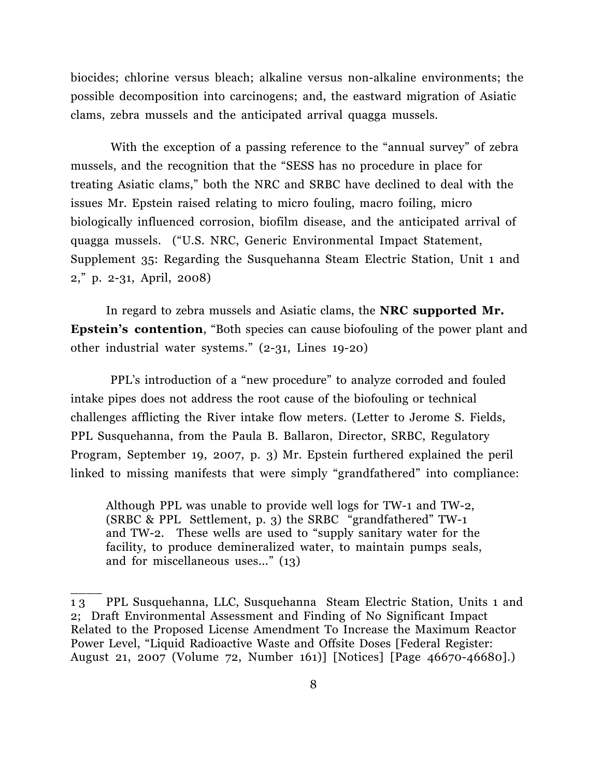biocides; chlorine versus bleach; alkaline versus non-alkaline environments; the possible decomposition into carcinogens; and, the eastward migration of Asiatic clams, zebra mussels and the anticipated arrival quagga mussels.

With the exception of a passing reference to the "annual survey" of zebra mussels, and the recognition that the "SESS has no procedure in place for treating Asiatic clams," both the NRC and SRBC have declined to deal with the issues Mr. Epstein raised relating to micro fouling, macro foiling, micro biologically influenced corrosion, biofilm disease, and the anticipated arrival of quagga mussels. ("U.S. NRC, Generic Environmental Impact Statement, Supplement 35: Regarding the Susquehanna Steam Electric Station, Unit 1 and 2," p. 2-31, April, 2008)

In regard to zebra mussels and Asiatic clams, the **NRC supported Mr. Epstein's contention**, "Both species can cause biofouling of the power plant and other industrial water systems." (2-31, Lines 19-20)

 PPL's introduction of a "new procedure" to analyze corroded and fouled intake pipes does not address the root cause of the biofouling or technical challenges afflicting the River intake flow meters. (Letter to Jerome S. Fields, PPL Susquehanna, from the Paula B. Ballaron, Director, SRBC, Regulatory Program, September 19, 2007, p. 3) Mr. Epstein furthered explained the peril linked to missing manifests that were simply "grandfathered" into compliance:

 Although PPL was unable to provide well logs for TW-1 and TW-2, (SRBC & PPL Settlement, p. 3) the SRBC "grandfathered" TW-1 and TW-2. These wells are used to "supply sanitary water for the facility, to produce demineralized water, to maintain pumps seals, and for miscellaneous uses..." (13)

<sup>1 3</sup> PPL Susquehanna, LLC, Susquehanna Steam Electric Station, Units 1 and 2; Draft Environmental Assessment and Finding of No Significant Impact Related to the Proposed License Amendment To Increase the Maximum Reactor Power Level, "Liquid Radioactive Waste and Offsite Doses [Federal Register: August 21, 2007 (Volume 72, Number 161)] [Notices] [Page 46670-46680].)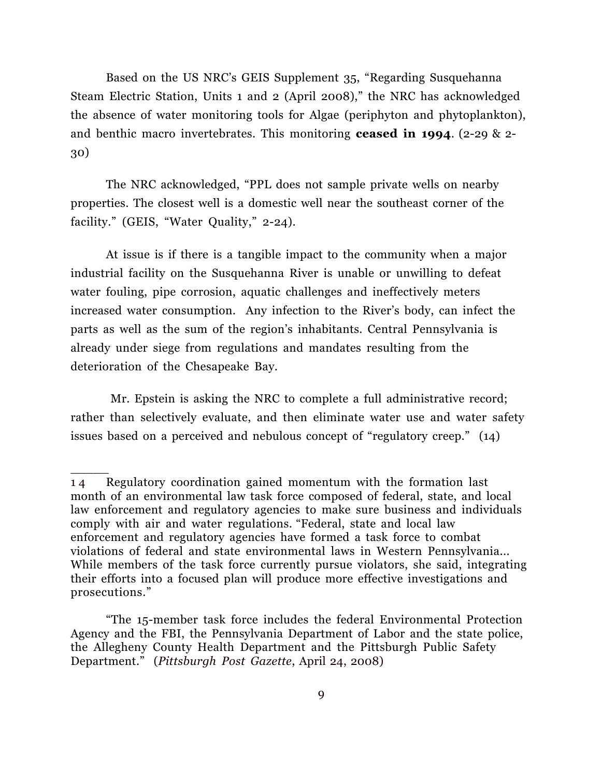Based on the US NRC's GEIS Supplement 35, "Regarding Susquehanna Steam Electric Station, Units 1 and 2 (April 2008)," the NRC has acknowledged the absence of water monitoring tools for Algae (periphyton and phytoplankton), and benthic macro invertebrates. This monitoring **ceased in 1994**. (2-29 & 2- 30)

The NRC acknowledged, "PPL does not sample private wells on nearby properties. The closest well is a domestic well near the southeast corner of the facility." (GEIS, "Water Quality," 2-24).

 At issue is if there is a tangible impact to the community when a major industrial facility on the Susquehanna River is unable or unwilling to defeat water fouling, pipe corrosion, aquatic challenges and ineffectively meters increased water consumption. Any infection to the River's body, can infect the parts as well as the sum of the region's inhabitants. Central Pennsylvania is already under siege from regulations and mandates resulting from the deterioration of the Chesapeake Bay.

 Mr. Epstein is asking the NRC to complete a full administrative record; rather than selectively evaluate, and then eliminate water use and water safety issues based on a perceived and nebulous concept of "regulatory creep." (14)

<sup>1 4</sup> Regulatory coordination gained momentum with the formation last month of an environmental law task force composed of federal, state, and local law enforcement and regulatory agencies to make sure business and individuals comply with air and water regulations. "Federal, state and local law enforcement and regulatory agencies have formed a task force to combat violations of federal and state environmental laws in Western Pennsylvania... While members of the task force currently pursue violators, she said, integrating their efforts into a focused plan will produce more effective investigations and prosecutions."

 <sup>&</sup>quot;The 15-member task force includes the federal Environmental Protection Agency and the FBI, the Pennsylvania Department of Labor and the state police, the Allegheny County Health Department and the Pittsburgh Public Safety Department." (*Pittsburgh Post Gazette*, April 24, 2008)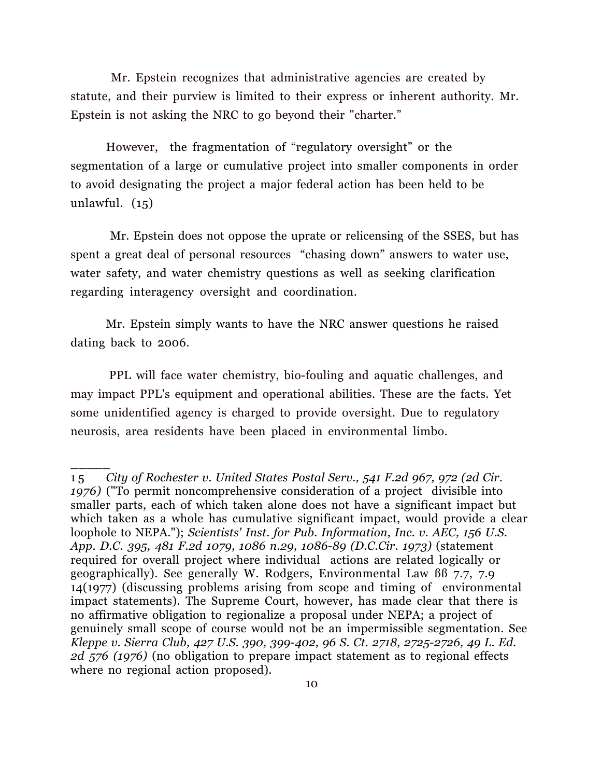Mr. Epstein recognizes that administrative agencies are created by statute, and their purview is limited to their express or inherent authority. Mr. Epstein is not asking the NRC to go beyond their "charter."

However, the fragmentation of "regulatory oversight" or the segmentation of a large or cumulative project into smaller components in order to avoid designating the project a major federal action has been held to be unlawful. (15)

 Mr. Epstein does not oppose the uprate or relicensing of the SSES, but has spent a great deal of personal resources "chasing down" answers to water use, water safety, and water chemistry questions as well as seeking clarification regarding interagency oversight and coordination.

Mr. Epstein simply wants to have the NRC answer questions he raised dating back to 2006.

PPL will face water chemistry, bio-fouling and aquatic challenges, and may impact PPL's equipment and operational abilities. These are the facts. Yet some unidentified agency is charged to provide oversight. Due to regulatory neurosis, area residents have been placed in environmental limbo.

<sup>1 5</sup> *City of Rochester v. United States Postal Serv., 541 F.2d 967, 972 (2d Cir. 1976)* ("To permit noncomprehensive consideration of a project divisible into smaller parts, each of which taken alone does not have a significant impact but which taken as a whole has cumulative significant impact, would provide a clear loophole to NEPA."); *Scientists' Inst. for Pub. Information, Inc. v. AEC, 156 U.S. App. D.C. 395, 481 F.2d 1079, 1086 n.29, 1086-89 (D.C.Cir. 1973)* (statement required for overall project where individual actions are related logically or geographically). See generally W. Rodgers, Environmental Law ßß 7.7, 7.9 14(1977) (discussing problems arising from scope and timing of environmental impact statements). The Supreme Court, however, has made clear that there is no affirmative obligation to regionalize a proposal under NEPA; a project of genuinely small scope of course would not be an impermissible segmentation. See *Kleppe v. Sierra Club, 427 U.S. 390, 399-402, 96 S. Ct. 2718, 2725-2726, 49 L. Ed. 2d 576 (1976)* (no obligation to prepare impact statement as to regional effects where no regional action proposed).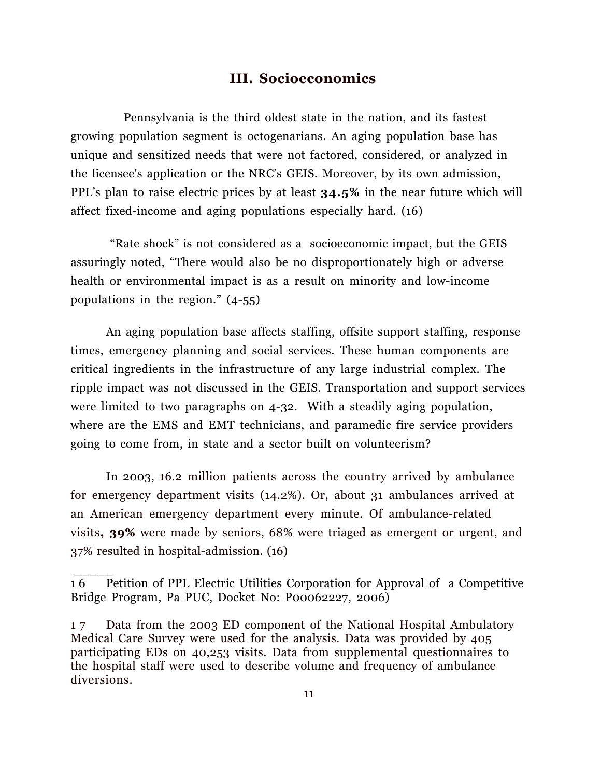#### **III. Socioeconomics**

 Pennsylvania is the third oldest state in the nation, and its fastest growing population segment is octogenarians. An aging population base has unique and sensitized needs that were not factored, considered, or analyzed in the licensee's application or the NRC's GEIS. Moreover, by its own admission, PPL's plan to raise electric prices by at least **34.5%** in the near future which will affect fixed-income and aging populations especially hard. (16)

"Rate shock" is not considered as a socioeconomic impact, but the GEIS assuringly noted, "There would also be no disproportionately high or adverse health or environmental impact is as a result on minority and low-income populations in the region." (4-55)

An aging population base affects staffing, offsite support staffing, response times, emergency planning and social services. These human components are critical ingredients in the infrastructure of any large industrial complex. The ripple impact was not discussed in the GEIS. Transportation and support services were limited to two paragraphs on 4-32. With a steadily aging population, where are the EMS and EMT technicians, and paramedic fire service providers going to come from, in state and a sector built on volunteerism?

In 2003, 16.2 million patients across the country arrived by ambulance for emergency department visits (14.2%). Or, about 31 ambulances arrived at an American emergency department every minute. Of ambulance-related visits**, 39%** were made by seniors, 68% were triaged as emergent or urgent, and 37% resulted in hospital-admission. (16)

<sup>1 6</sup> Petition of PPL Electric Utilities Corporation for Approval of a Competitive Bridge Program, Pa PUC, Docket No: P00062227, 2006)

<sup>1 7</sup> Data from the 2003 ED component of the National Hospital Ambulatory Medical Care Survey were used for the analysis. Data was provided by 405 participating EDs on 40,253 visits. Data from supplemental questionnaires to the hospital staff were used to describe volume and frequency of ambulance diversions.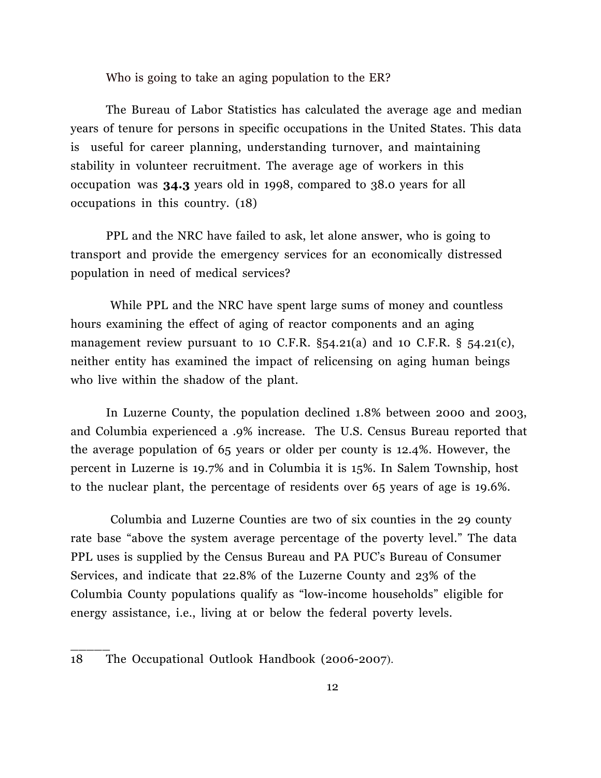Who is going to take an aging population to the ER?

The Bureau of Labor Statistics has calculated the average age and median years of tenure for persons in specific occupations in the United States. This data is useful for career planning, understanding turnover, and maintaining stability in volunteer recruitment. The average age of workers in this occupation was **34.3** years old in 1998, compared to 38.0 years for all occupations in this country. (18)

PPL and the NRC have failed to ask, let alone answer, who is going to transport and provide the emergency services for an economically distressed population in need of medical services?

 While PPL and the NRC have spent large sums of money and countless hours examining the effect of aging of reactor components and an aging management review pursuant to 10 C.F.R.  $\S$ 54.21(a) and 10 C.F.R.  $\S$  54.21(c), neither entity has examined the impact of relicensing on aging human beings who live within the shadow of the plant.

In Luzerne County, the population declined 1.8% between 2000 and 2003, and Columbia experienced a .9% increase. The U.S. Census Bureau reported that the average population of 65 years or older per county is 12.4%. However, the percent in Luzerne is 19.7% and in Columbia it is 15%. In Salem Township, host to the nuclear plant, the percentage of residents over 65 years of age is 19.6%.

 Columbia and Luzerne Counties are two of six counties in the 29 county rate base "above the system average percentage of the poverty level." The data PPL uses is supplied by the Census Bureau and PA PUC's Bureau of Consumer Services, and indicate that 22.8% of the Luzerne County and 23% of the Columbia County populations qualify as "low-income households" eligible for energy assistance, i.e., living at or below the federal poverty levels.

18 The Occupational Outlook Handbook (2006-2007).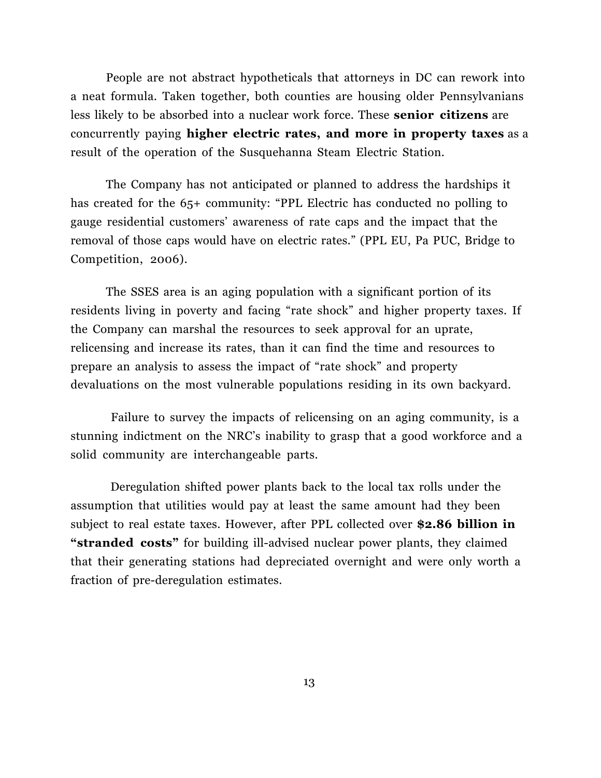People are not abstract hypotheticals that attorneys in DC can rework into a neat formula. Taken together, both counties are housing older Pennsylvanians less likely to be absorbed into a nuclear work force. These **senior citizens** are concurrently paying **higher electric rates, and more in property taxes** as a result of the operation of the Susquehanna Steam Electric Station.

 The Company has not anticipated or planned to address the hardships it has created for the 65+ community: "PPL Electric has conducted no polling to gauge residential customers' awareness of rate caps and the impact that the removal of those caps would have on electric rates." (PPL EU, Pa PUC, Bridge to Competition, 2006).

The SSES area is an aging population with a significant portion of its residents living in poverty and facing "rate shock" and higher property taxes. If the Company can marshal the resources to seek approval for an uprate, relicensing and increase its rates, than it can find the time and resources to prepare an analysis to assess the impact of "rate shock" and property devaluations on the most vulnerable populations residing in its own backyard.

Failure to survey the impacts of relicensing on an aging community, is a stunning indictment on the NRC's inability to grasp that a good workforce and a solid community are interchangeable parts.

Deregulation shifted power plants back to the local tax rolls under the assumption that utilities would pay at least the same amount had they been subject to real estate taxes. However, after PPL collected over **\$2.86 billion in "stranded costs"** for building ill-advised nuclear power plants, they claimed that their generating stations had depreciated overnight and were only worth a fraction of pre-deregulation estimates.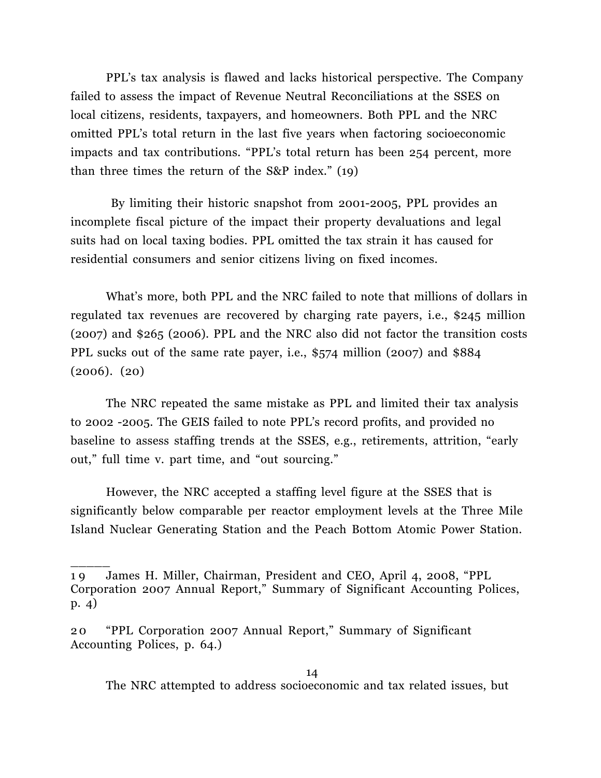PPL's tax analysis is flawed and lacks historical perspective. The Company failed to assess the impact of Revenue Neutral Reconciliations at the SSES on local citizens, residents, taxpayers, and homeowners. Both PPL and the NRC omitted PPL's total return in the last five years when factoring socioeconomic impacts and tax contributions. "PPL's total return has been 254 percent, more than three times the return of the S&P index." (19)

 By limiting their historic snapshot from 2001-2005, PPL provides an incomplete fiscal picture of the impact their property devaluations and legal suits had on local taxing bodies. PPL omitted the tax strain it has caused for residential consumers and senior citizens living on fixed incomes.

What's more, both PPL and the NRC failed to note that millions of dollars in regulated tax revenues are recovered by charging rate payers, i.e., \$245 million (2007) and \$265 (2006). PPL and the NRC also did not factor the transition costs PPL sucks out of the same rate payer, i.e., \$574 million (2007) and \$884 (2006). (20)

The NRC repeated the same mistake as PPL and limited their tax analysis to 2002 -2005. The GEIS failed to note PPL's record profits, and provided no baseline to assess staffing trends at the SSES, e.g., retirements, attrition, "early out," full time v. part time, and "out sourcing."

However, the NRC accepted a staffing level figure at the SSES that is significantly below comparable per reactor employment levels at the Three Mile Island Nuclear Generating Station and the Peach Bottom Atomic Power Station.

<sup>1 9</sup> James H. Miller, Chairman, President and CEO, April 4, 2008, "PPL Corporation 2007 Annual Report," Summary of Significant Accounting Polices, p. 4)

<sup>2 0</sup> "PPL Corporation 2007 Annual Report," Summary of Significant Accounting Polices, p. 64.)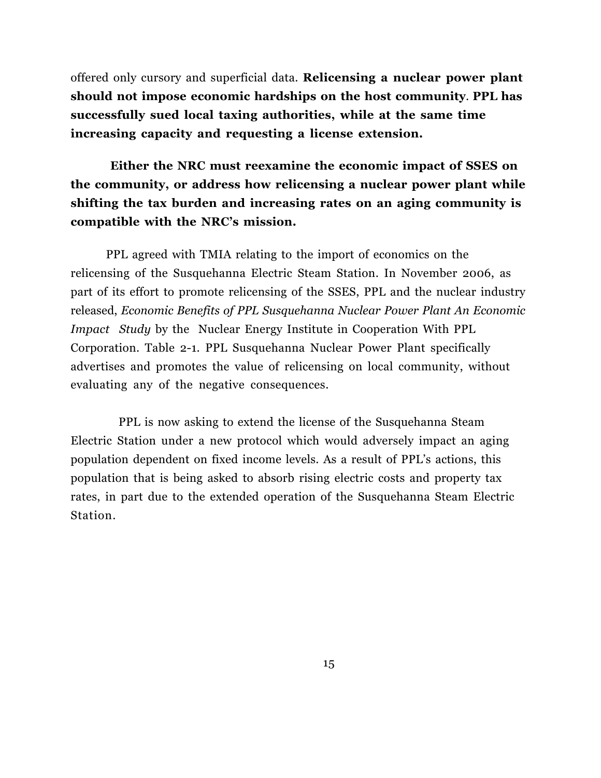offered only cursory and superficial data. **Relicensing a nuclear power plant should not impose economic hardships on the host community**. **PPL has successfully sued local taxing authorities, while at the same time increasing capacity and requesting a license extension.**

# **Either the NRC must reexamine the economic impact of SSES on the community, or address how relicensing a nuclear power plant while shifting the tax burden and increasing rates on an aging community is compatible with the NRC's mission.**

 PPL agreed with TMIA relating to the import of economics on the relicensing of the Susquehanna Electric Steam Station. In November 2006, as part of its effort to promote relicensing of the SSES, PPL and the nuclear industry released, *Economic Benefits of PPL Susquehanna Nuclear Power Plant An Economic Impact Study* by the Nuclear Energy Institute in Cooperation With PPL Corporation. Table 2-1. PPL Susquehanna Nuclear Power Plant specifically advertises and promotes the value of relicensing on local community, without evaluating any of the negative consequences.

 PPL is now asking to extend the license of the Susquehanna Steam Electric Station under a new protocol which would adversely impact an aging population dependent on fixed income levels. As a result of PPL's actions, this population that is being asked to absorb rising electric costs and property tax rates, in part due to the extended operation of the Susquehanna Steam Electric Station.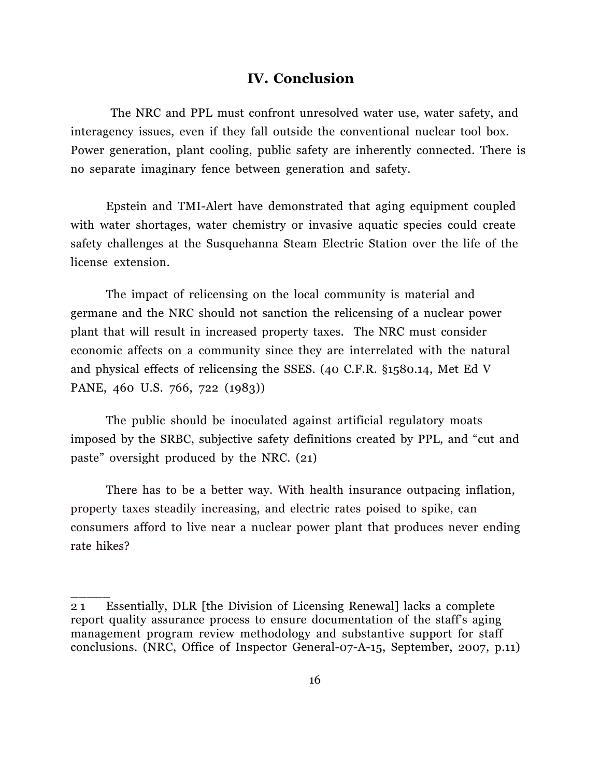#### **IV. Conclusion**

The NRC and PPL must confront unresolved water use, water safety, and interagency issues, even if they fall outside the conventional nuclear tool box. Power generation, plant cooling, public safety are inherently connected. There is no separate imaginary fence between generation and safety.

Epstein and TMI-Alert have demonstrated that aging equipment coupled with water shortages, water chemistry or invasive aquatic species could create safety challenges at the Susquehanna Steam Electric Station over the life of the license extension.

The impact of relicensing on the local community is material and germane and the NRC should not sanction the relicensing of a nuclear power plant that will result in increased property taxes. The NRC must consider economic affects on a community since they are interrelated with the natural and physical effects of relicensing the SSES. (40 C.F.R. §1580.14, Met Ed V PANE, 460 U.S. 766, 722 (1983))

The public should be inoculated against artificial regulatory moats imposed by the SRBC, subjective safety definitions created by PPL, and "cut and paste" oversight produced by the NRC. (21)

There has to be a better way. With health insurance outpacing inflation, property taxes steadily increasing, and electric rates poised to spike, can consumers afford to live near a nuclear power plant that produces never ending rate hikes?

<sup>2 1</sup> Essentially, DLR [the Division of Licensing Renewal] lacks a complete report quality assurance process to ensure documentation of the staff's aging management program review methodology and substantive support for staff conclusions. (NRC, Office of Inspector General-07-A-15, September, 2007, p.11)